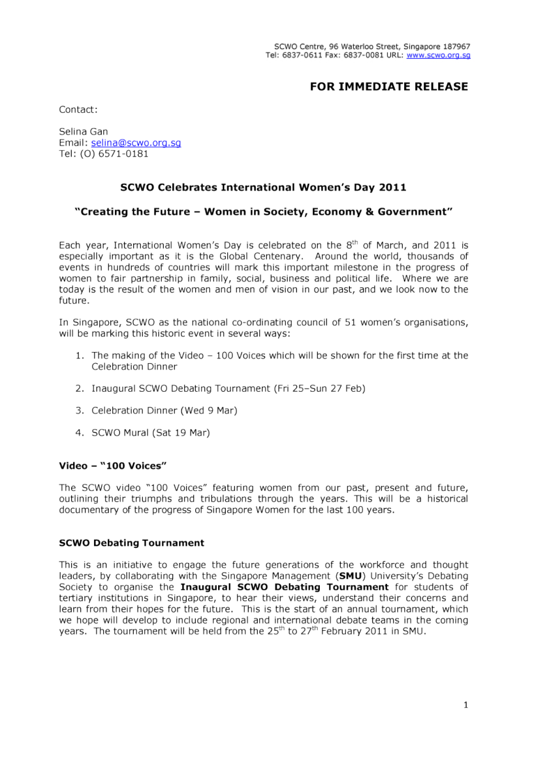# **FOR IMMEDIATE RELEASE**

Contact:

Selina Gan Email: selina@scwo.org.sg Tel: (0) 6571-0181

# SCWO Celebrates International Women's Day 2011

## "Creating the Future - Women in Society, Economy & Government"

Each year, International Women's Day is celebrated on the 8<sup>th</sup> of March, and 2011 is especially important as it is the Global Centenary. Around the world, thousands of events in hundreds of countries will mark this important milestone in the progress of women to fair partnership in family, social, business and political life. Where we are today is the result of the women and men of vision in our past, and we look now to the future.

In Singapore, SCWO as the national co-ordinating council of 51 women's organisations, will be marking this historic event in several ways:

- 1. The making of the Video 100 Voices which will be shown for the first time at the Celebration Dinner
- 2. Inaugural SCWO Debating Tournament (Fri 25-Sun 27 Feb)
- 3. Celebration Dinner (Wed 9 Mar)
- 4. SCWO Mural (Sat 19 Mar)

#### Video - "100 Voices"

The SCWO video "100 Voices" featuring women from our past, present and future, outlining their triumphs and tribulations through the years. This will be a historical documentary of the progress of Singapore Women for the last 100 years.

#### **SCWO Debating Tournament**

This is an initiative to engage the future generations of the workforce and thought leaders, by collaborating with the Singapore Management (SMU) University's Debating Society to organise the Inaugural SCWO Debating Tournament for students of tertiary institutions in Singapore, to hear their views, understand their concerns and learn from their hopes for the future. This is the start of an annual tournament, which we hope will develop to include regional and international debate teams in the coming years. The tournament will be held from the 25<sup>th</sup> to 27<sup>th</sup> February 2011 in SMU.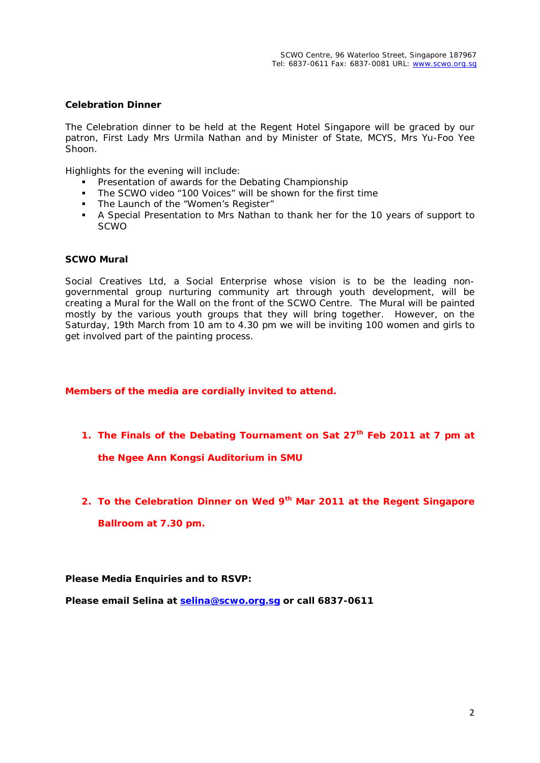### **Celebration Dinner**

The Celebration dinner to be held at the Regent Hotel Singapore will be graced by our patron, First Lady Mrs Urmila Nathan and by Minister of State, MCYS, Mrs Yu-Foo Yee Shoon.

Highlights for the evening will include:

- **Presentation of awards for the Debating Championship**
- **The SCWO video "100 Voices" will be shown for the first time**
- The Launch of the "Women's Register"
- A Special Presentation to Mrs Nathan to thank her for the 10 years of support to SCWO

#### **SCWO Mural**

Social Creatives Ltd, a Social Enterprise whose vision is to be the leading nongovernmental group nurturing community art through youth development, will be creating a Mural for the Wall on the front of the SCWO Centre. The Mural will be painted mostly by the various youth groups that they will bring together. However, on the Saturday, 19th March from 10 am to 4.30 pm we will be inviting 100 women and girls to get involved part of the painting process.

**Members of the media are cordially invited to attend.**

**1. The Finals of the Debating Tournament on Sat 27th Feb 2011 at 7 pm at the Ngee Ann Kongsi Auditorium in SMU**

**2. To the Celebration Dinner on Wed 9th Mar 2011 at the Regent Singapore Ballroom at 7.30 pm.**

**Please Media Enquiries and to RSVP:**

**Please email Selina at [selina@scwo.org.sg](mailto:selina@scwo.org.sg) or call 6837-0611**